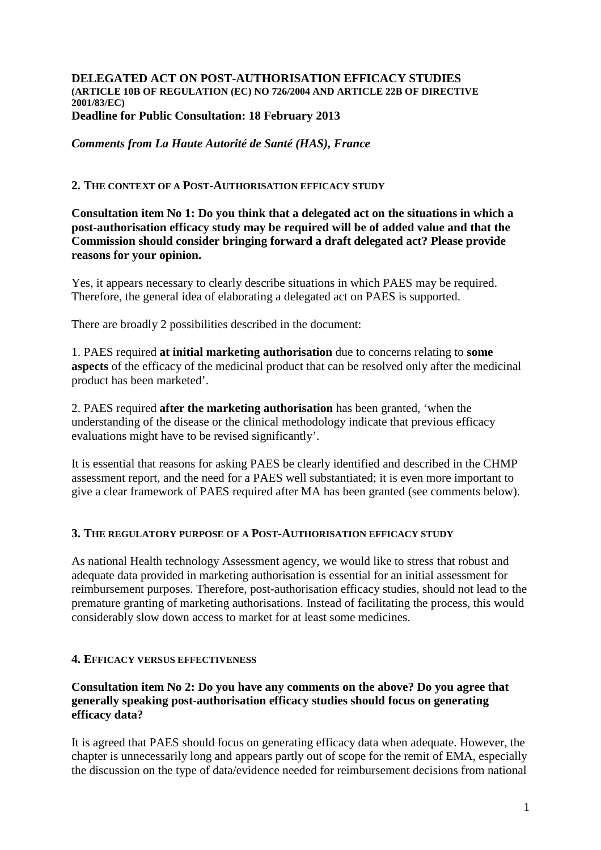#### **DELEGATED ACT ON POST-AUTHORISATION EFFICACY STUDIES (ARTICLE 10B OF REGULATION (EC) NO 726/2004 AND ARTICLE 22B OF DIRECTIVE 2001/83/EC) Deadline for Public Consultation: 18 February 2013**

*Comments from La Haute Autorité de Santé (HAS), France*

## **2. THE CONTEXT OF A POST-AUTHORISATION EFFICACY STUDY**

**Consultation item No 1: Do you think that a delegated act on the situations in which a post-authorisation efficacy study may be required will be of added value and that the Commission should consider bringing forward a draft delegated act? Please provide reasons for your opinion.** 

Yes, it appears necessary to clearly describe situations in which PAES may be required. Therefore, the general idea of elaborating a delegated act on PAES is supported.

There are broadly 2 possibilities described in the document:

1. PAES required **at initial marketing authorisation** due to concerns relating to **some aspects** of the efficacy of the medicinal product that can be resolved only after the medicinal product has been marketed'.

2. PAES required **after the marketing authorisation** has been granted, 'when the understanding of the disease or the clinical methodology indicate that previous efficacy evaluations might have to be revised significantly'.

It is essential that reasons for asking PAES be clearly identified and described in the CHMP assessment report, and the need for a PAES well substantiated; it is even more important to give a clear framework of PAES required after MA has been granted (see comments below).

#### **3. THE REGULATORY PURPOSE OF A POST-AUTHORISATION EFFICACY STUDY**

As national Health technology Assessment agency, we would like to stress that robust and adequate data provided in marketing authorisation is essential for an initial assessment for reimbursement purposes. Therefore, post-authorisation efficacy studies, should not lead to the premature granting of marketing authorisations. Instead of facilitating the process, this would considerably slow down access to market for at least some medicines.

## **4. EFFICACY VERSUS EFFECTIVENESS**

## **Consultation item No 2: Do you have any comments on the above? Do you agree that generally speaking post-authorisation efficacy studies should focus on generating efficacy data?**

It is agreed that PAES should focus on generating efficacy data when adequate. However, the chapter is unnecessarily long and appears partly out of scope for the remit of EMA, especially the discussion on the type of data/evidence needed for reimbursement decisions from national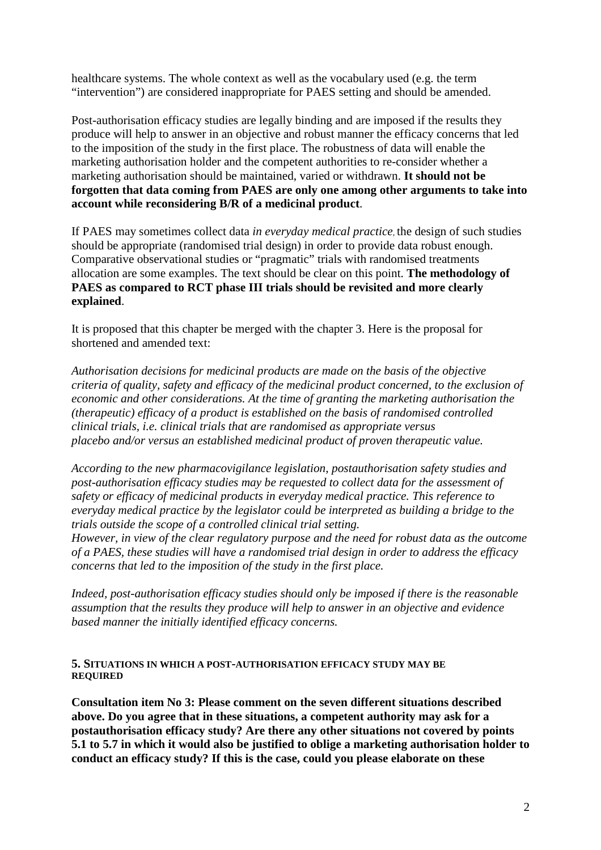healthcare systems. The whole context as well as the vocabulary used (e.g. the term "intervention") are considered inappropriate for PAES setting and should be amended.

Post-authorisation efficacy studies are legally binding and are imposed if the results they produce will help to answer in an objective and robust manner the efficacy concerns that led to the imposition of the study in the first place. The robustness of data will enable the marketing authorisation holder and the competent authorities to re-consider whether a marketing authorisation should be maintained, varied or withdrawn. **It should not be forgotten that data coming from PAES are only one among other arguments to take into account while reconsidering B/R of a medicinal product**.

If PAES may sometimes collect data *in everyday medical practice,* the design of such studies should be appropriate (randomised trial design) in order to provide data robust enough. Comparative observational studies or "pragmatic" trials with randomised treatments allocation are some examples. The text should be clear on this point. **The methodology of PAES as compared to RCT phase III trials should be revisited and more clearly explained**.

It is proposed that this chapter be merged with the chapter 3. Here is the proposal for shortened and amended text:

*Authorisation decisions for medicinal products are made on the basis of the objective criteria of quality, safety and efficacy of the medicinal product concerned, to the exclusion of economic and other considerations. At the time of granting the marketing authorisation the (therapeutic) efficacy of a product is established on the basis of randomised controlled clinical trials, i.e. clinical trials that are randomised as appropriate versus placebo and/or versus an established medicinal product of proven therapeutic value.* 

*According to the new pharmacovigilance legislation, postauthorisation safety studies and post-authorisation efficacy studies may be requested to collect data for the assessment of safety or efficacy of medicinal products in everyday medical practice. This reference to everyday medical practice by the legislator could be interpreted as building a bridge to the trials outside the scope of a controlled clinical trial setting.* 

*However, in view of the clear regulatory purpose and the need for robust data as the outcome of a PAES, these studies will have a randomised trial design in order to address the efficacy concerns that led to the imposition of the study in the first place.* 

*Indeed, post-authorisation efficacy studies should only be imposed if there is the reasonable assumption that the results they produce will help to answer in an objective and evidence based manner the initially identified efficacy concerns.* 

#### **5. SITUATIONS IN WHICH A POST-AUTHORISATION EFFICACY STUDY MAY BE REQUIRED**

**Consultation item No 3: Please comment on the seven different situations described above. Do you agree that in these situations, a competent authority may ask for a postauthorisation efficacy study? Are there any other situations not covered by points 5.1 to 5.7 in which it would also be justified to oblige a marketing authorisation holder to conduct an efficacy study? If this is the case, could you please elaborate on these**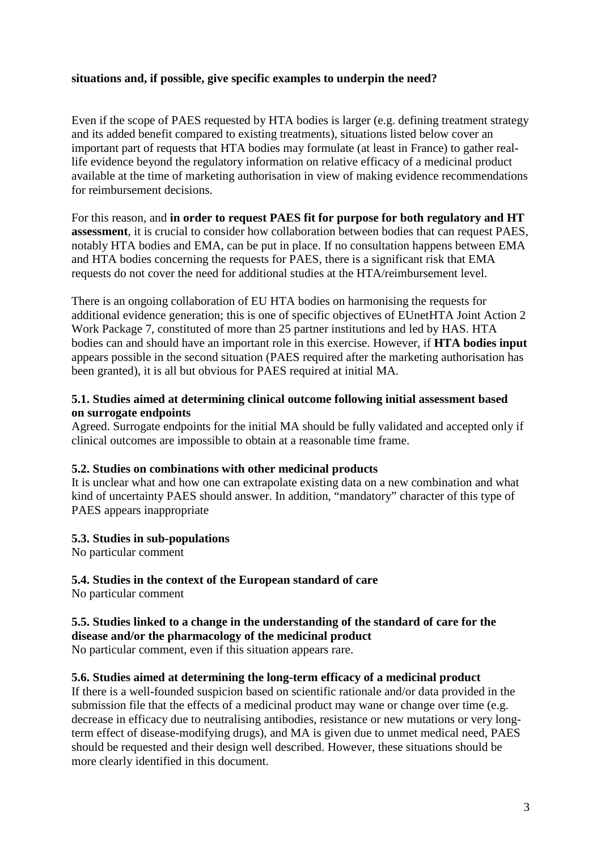## **situations and, if possible, give specific examples to underpin the need?**

Even if the scope of PAES requested by HTA bodies is larger (e.g. defining treatment strategy and its added benefit compared to existing treatments), situations listed below cover an important part of requests that HTA bodies may formulate (at least in France) to gather reallife evidence beyond the regulatory information on relative efficacy of a medicinal product available at the time of marketing authorisation in view of making evidence recommendations for reimbursement decisions.

For this reason, and **in order to request PAES fit for purpose for both regulatory and HT assessment**, it is crucial to consider how collaboration between bodies that can request PAES, notably HTA bodies and EMA, can be put in place. If no consultation happens between EMA and HTA bodies concerning the requests for PAES, there is a significant risk that EMA requests do not cover the need for additional studies at the HTA/reimbursement level.

There is an ongoing collaboration of EU HTA bodies on harmonising the requests for additional evidence generation; this is one of specific objectives of EUnetHTA Joint Action 2 Work Package 7, constituted of more than 25 partner institutions and led by HAS. HTA bodies can and should have an important role in this exercise. However, if **HTA bodies input** appears possible in the second situation (PAES required after the marketing authorisation has been granted), it is all but obvious for PAES required at initial MA.

## **5.1. Studies aimed at determining clinical outcome following initial assessment based on surrogate endpoints**

Agreed. Surrogate endpoints for the initial MA should be fully validated and accepted only if clinical outcomes are impossible to obtain at a reasonable time frame.

## **5.2. Studies on combinations with other medicinal products**

It is unclear what and how one can extrapolate existing data on a new combination and what kind of uncertainty PAES should answer. In addition, "mandatory" character of this type of PAES appears inappropriate

## **5.3. Studies in sub-populations**

No particular comment

# **5.4. Studies in the context of the European standard of care**

No particular comment

# **5.5. Studies linked to a change in the understanding of the standard of care for the disease and/or the pharmacology of the medicinal product**

No particular comment, even if this situation appears rare.

## **5.6. Studies aimed at determining the long-term efficacy of a medicinal product**

If there is a well-founded suspicion based on scientific rationale and/or data provided in the submission file that the effects of a medicinal product may wane or change over time (e.g. decrease in efficacy due to neutralising antibodies, resistance or new mutations or very longterm effect of disease-modifying drugs), and MA is given due to unmet medical need, PAES should be requested and their design well described. However, these situations should be more clearly identified in this document.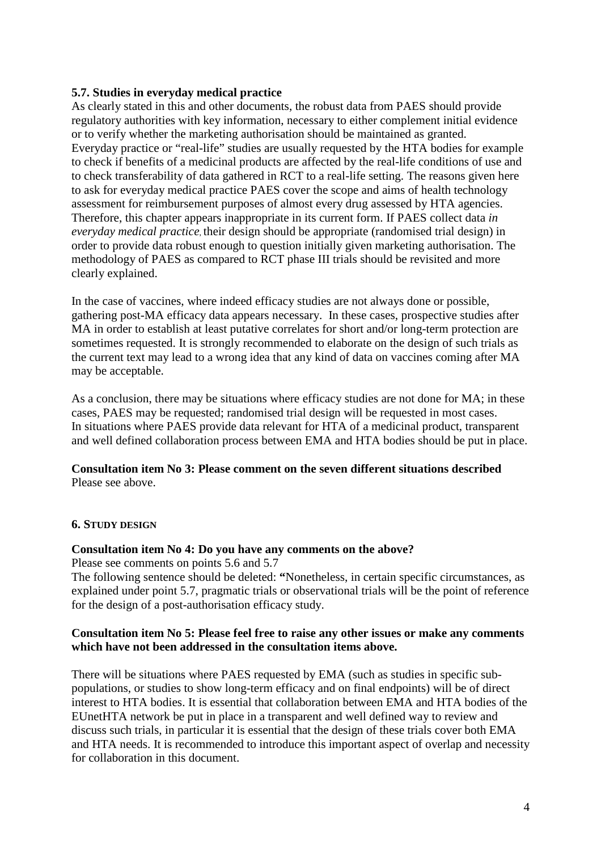# **5.7. Studies in everyday medical practice**

As clearly stated in this and other documents, the robust data from PAES should provide regulatory authorities with key information, necessary to either complement initial evidence or to verify whether the marketing authorisation should be maintained as granted. Everyday practice or "real-life" studies are usually requested by the HTA bodies for example to check if benefits of a medicinal products are affected by the real-life conditions of use and to check transferability of data gathered in RCT to a real-life setting. The reasons given here to ask for everyday medical practice PAES cover the scope and aims of health technology assessment for reimbursement purposes of almost every drug assessed by HTA agencies. Therefore, this chapter appears inappropriate in its current form. If PAES collect data *in everyday medical practice,* their design should be appropriate (randomised trial design) in order to provide data robust enough to question initially given marketing authorisation. The methodology of PAES as compared to RCT phase III trials should be revisited and more clearly explained.

In the case of vaccines, where indeed efficacy studies are not always done or possible, gathering post-MA efficacy data appears necessary. In these cases, prospective studies after MA in order to establish at least putative correlates for short and/or long-term protection are sometimes requested. It is strongly recommended to elaborate on the design of such trials as the current text may lead to a wrong idea that any kind of data on vaccines coming after MA may be acceptable.

As a conclusion, there may be situations where efficacy studies are not done for MA; in these cases, PAES may be requested; randomised trial design will be requested in most cases. In situations where PAES provide data relevant for HTA of a medicinal product, transparent and well defined collaboration process between EMA and HTA bodies should be put in place.

## **Consultation item No 3: Please comment on the seven different situations described**  Please see above.

## **6. STUDY DESIGN**

## **Consultation item No 4: Do you have any comments on the above?**

Please see comments on points 5.6 and 5.7

The following sentence should be deleted: **"**Nonetheless, in certain specific circumstances, as explained under point 5.7, pragmatic trials or observational trials will be the point of reference for the design of a post-authorisation efficacy study.

## **Consultation item No 5: Please feel free to raise any other issues or make any comments which have not been addressed in the consultation items above.**

There will be situations where PAES requested by EMA (such as studies in specific subpopulations, or studies to show long-term efficacy and on final endpoints) will be of direct interest to HTA bodies. It is essential that collaboration between EMA and HTA bodies of the EUnetHTA network be put in place in a transparent and well defined way to review and discuss such trials, in particular it is essential that the design of these trials cover both EMA and HTA needs. It is recommended to introduce this important aspect of overlap and necessity for collaboration in this document.